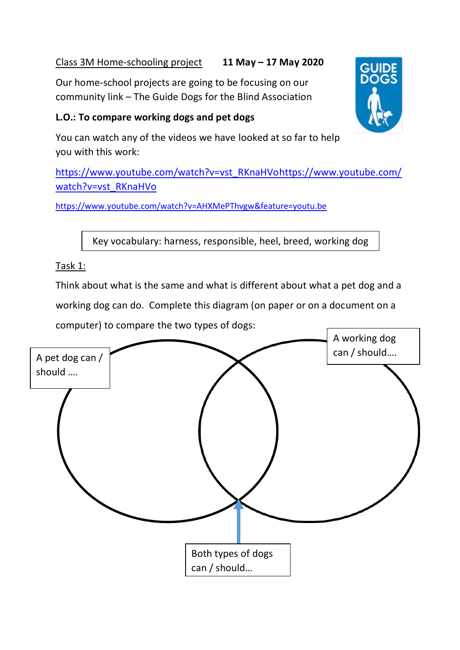## Class 3M Home-schooling project **11 May – 17 May 2020**

Our home-school projects are going to be focusing on our community link – The Guide Dogs for the Blind Association

## **L.O.: To compare working dogs and pet dogs**



You can watch any of the videos we have looked at so far to help you with this work:

[https://www.youtube.com/watch?v=vst\\_RKnaHVohttps://www.youtube.com/](https://www.youtube.com/watch?v=vst_RKnaHVo) [watch?v=vst\\_RKnaHVo](https://www.youtube.com/watch?v=vst_RKnaHVo)

<https://www.youtube.com/watch?v=AHXMePThvgw&feature=youtu.be>

Key vocabulary: harness, responsible, heel, breed, working dog

## Task 1:

Think about what is the same and what is different about what a pet dog and a working dog can do. Complete this diagram (on paper or on a document on a computer) to compare the two types of dogs: